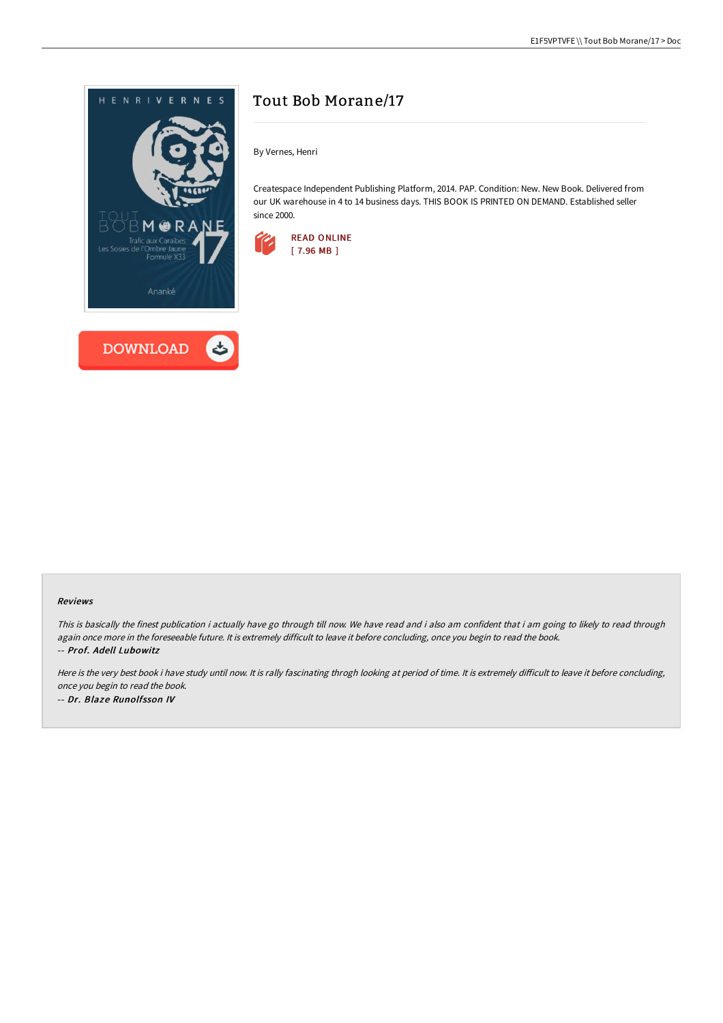



## Tout Bob Morane/17

By Vernes, Henri

Createspace Independent Publishing Platform, 2014. PAP. Condition: New. New Book. Delivered from our UK warehouse in 4 to 14 business days. THIS BOOK IS PRINTED ON DEMAND. Established seller since 2000.



## Reviews

This is basically the finest publication i actually have go through till now. We have read and i also am confident that i am going to likely to read through again once more in the foreseeable future. It is extremely difficult to leave it before concluding, once you begin to read the book. -- Prof. Adell Lubowitz

Here is the very best book i have study until now. It is rally fascinating throgh looking at period of time. It is extremely difficult to leave it before concluding, once you begin to read the book. -- Dr. Blaze Runolfsson IV